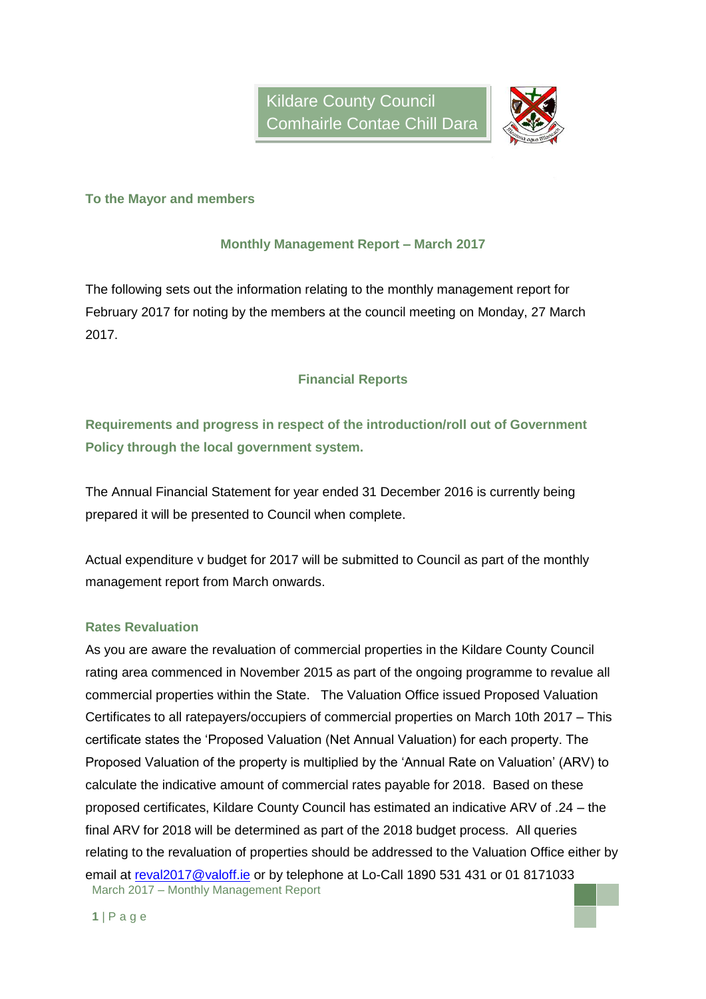

### **To the Mayor and members**

### **Monthly Management Report – March 2017**

The following sets out the information relating to the monthly management report for February 2017 for noting by the members at the council meeting on Monday, 27 March 2017.

### **Financial Reports**

**Requirements and progress in respect of the introduction/roll out of Government Policy through the local government system.**

The Annual Financial Statement for year ended 31 December 2016 is currently being prepared it will be presented to Council when complete.

Actual expenditure v budget for 2017 will be submitted to Council as part of the monthly management report from March onwards.

### **Rates Revaluation**

March 2017 – Monthly Management Report As you are aware the revaluation of commercial properties in the Kildare County Council rating area commenced in November 2015 as part of the ongoing programme to revalue all commercial properties within the State. The Valuation Office issued Proposed Valuation Certificates to all ratepayers/occupiers of commercial properties on March 10th 2017 – This certificate states the 'Proposed Valuation (Net Annual Valuation) for each property. The Proposed Valuation of the property is multiplied by the 'Annual Rate on Valuation' (ARV) to calculate the indicative amount of commercial rates payable for 2018. Based on these proposed certificates, Kildare County Council has estimated an indicative ARV of .24 – the final ARV for 2018 will be determined as part of the 2018 budget process. All queries relating to the revaluation of properties should be addressed to the Valuation Office either by email at [reval2017@valoff.ie](mailto:reval2017@valoff.ie) or by telephone at Lo-Call 1890 531 431 or 01 8171033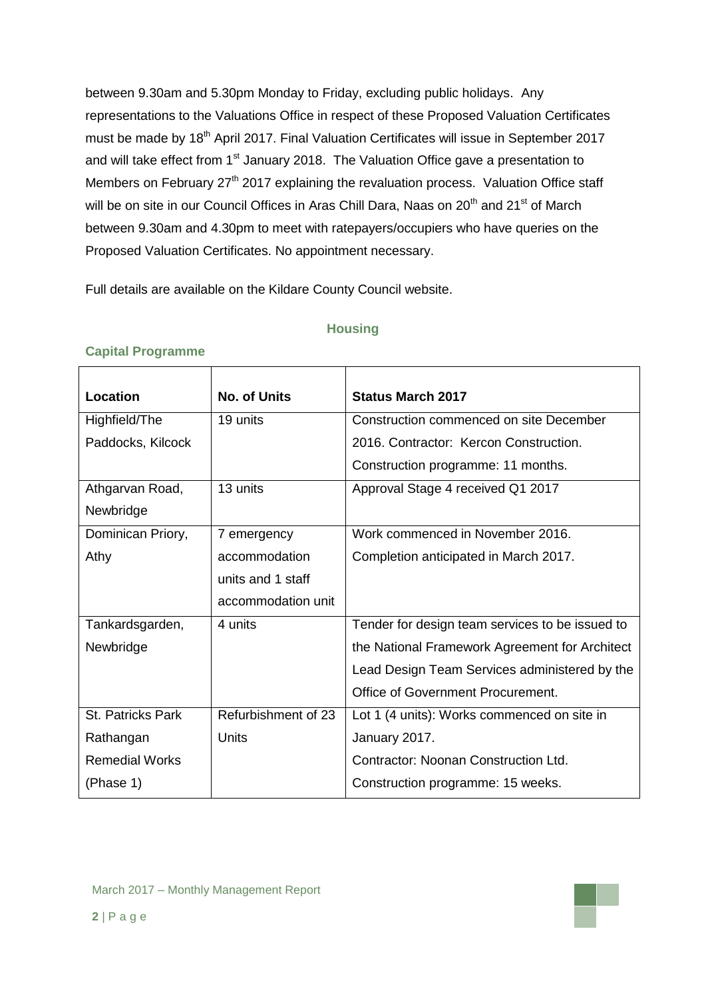between 9.30am and 5.30pm Monday to Friday, excluding public holidays. Any representations to the Valuations Office in respect of these Proposed Valuation Certificates must be made by 18<sup>th</sup> April 2017. Final Valuation Certificates will issue in September 2017 and will take effect from 1<sup>st</sup> January 2018. The Valuation Office gave a presentation to Members on February 27<sup>th</sup> 2017 explaining the revaluation process. Valuation Office staff will be on site in our Council Offices in Aras Chill Dara, Naas on  $20<sup>th</sup>$  and  $21<sup>st</sup>$  of March between 9.30am and 4.30pm to meet with ratepayers/occupiers who have queries on the Proposed Valuation Certificates. No appointment necessary.

Full details are available on the Kildare County Council website.

### **Housing**

| <b>Location</b>       | <b>No. of Units</b> | <b>Status March 2017</b>                        |
|-----------------------|---------------------|-------------------------------------------------|
| Highfield/The         | 19 units            | Construction commenced on site December         |
| Paddocks, Kilcock     |                     | 2016. Contractor: Kercon Construction.          |
|                       |                     | Construction programme: 11 months.              |
| Athgarvan Road,       | 13 units            | Approval Stage 4 received Q1 2017               |
| Newbridge             |                     |                                                 |
| Dominican Priory,     | 7 emergency         | Work commenced in November 2016.                |
| Athy                  | accommodation       | Completion anticipated in March 2017.           |
|                       | units and 1 staff   |                                                 |
|                       | accommodation unit  |                                                 |
| Tankardsgarden,       | 4 units             | Tender for design team services to be issued to |
| Newbridge             |                     | the National Framework Agreement for Architect  |
|                       |                     | Lead Design Team Services administered by the   |
|                       |                     | Office of Government Procurement.               |
| St. Patricks Park     | Refurbishment of 23 | Lot 1 (4 units): Works commenced on site in     |
| Rathangan             | Units               | January 2017.                                   |
| <b>Remedial Works</b> |                     | Contractor: Noonan Construction Ltd.            |
| (Phase 1)             |                     | Construction programme: 15 weeks.               |

### **Capital Programme**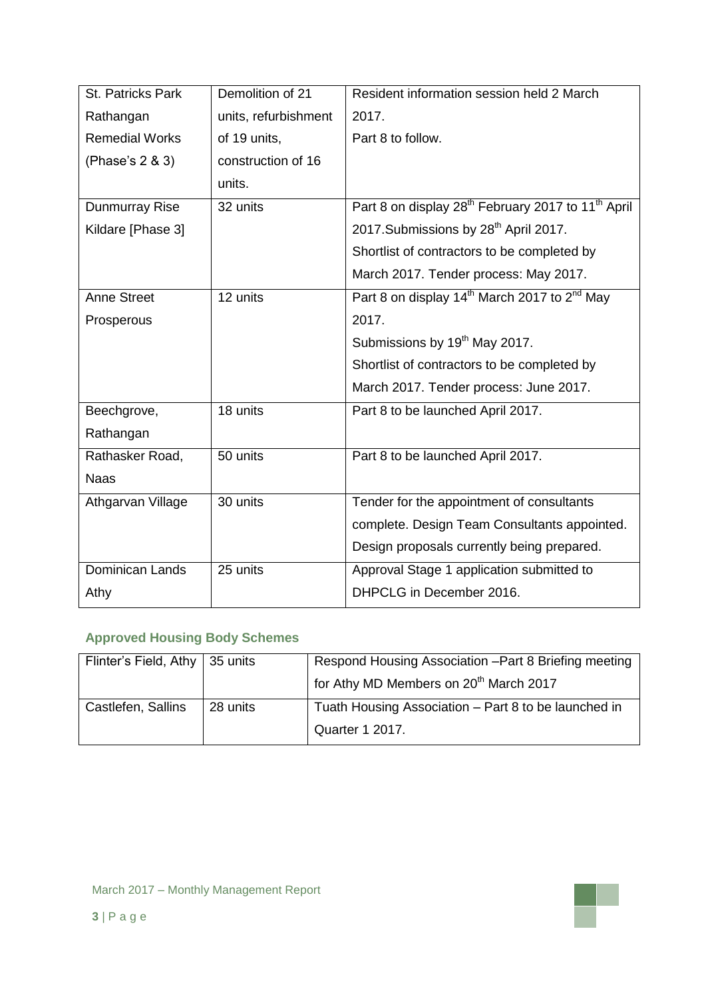| St. Patricks Park     | Demolition of 21     | Resident information session held 2 March                                  |  |  |
|-----------------------|----------------------|----------------------------------------------------------------------------|--|--|
| Rathangan             | units, refurbishment | 2017.                                                                      |  |  |
| <b>Remedial Works</b> | of 19 units,         | Part 8 to follow.                                                          |  |  |
| (Phase's 2 & 3)       | construction of 16   |                                                                            |  |  |
|                       | units.               |                                                                            |  |  |
| Dunmurray Rise        | 32 units             | Part 8 on display 28 <sup>th</sup> February 2017 to 11 <sup>th</sup> April |  |  |
| Kildare [Phase 3]     |                      | 2017. Submissions by 28 <sup>th</sup> April 2017.                          |  |  |
|                       |                      | Shortlist of contractors to be completed by                                |  |  |
|                       |                      | March 2017. Tender process: May 2017.                                      |  |  |
| <b>Anne Street</b>    | 12 units             | Part 8 on display 14 <sup>th</sup> March 2017 to 2 <sup>nd</sup> May       |  |  |
| Prosperous            |                      | 2017.                                                                      |  |  |
|                       |                      | Submissions by 19 <sup>th</sup> May 2017.                                  |  |  |
|                       |                      | Shortlist of contractors to be completed by                                |  |  |
|                       |                      | March 2017. Tender process: June 2017.                                     |  |  |
| Beechgrove,           | 18 units             | Part 8 to be launched April 2017.                                          |  |  |
| Rathangan             |                      |                                                                            |  |  |
| Rathasker Road,       | 50 units             | Part 8 to be launched April 2017.                                          |  |  |
| <b>Naas</b>           |                      |                                                                            |  |  |
| Athgarvan Village     | 30 units             | Tender for the appointment of consultants                                  |  |  |
|                       |                      | complete. Design Team Consultants appointed.                               |  |  |
|                       |                      | Design proposals currently being prepared.                                 |  |  |
| Dominican Lands       | 25 units             | Approval Stage 1 application submitted to                                  |  |  |
| Athy                  |                      | DHPCLG in December 2016.                                                   |  |  |

# **Approved Housing Body Schemes**

| Flinter's Field, Athy   35 units |          | Respond Housing Association - Part 8 Briefing meeting |  |  |
|----------------------------------|----------|-------------------------------------------------------|--|--|
|                                  |          | for Athy MD Members on 20 <sup>th</sup> March 2017    |  |  |
| Castlefen, Sallins               | 28 units | Tuath Housing Association - Part 8 to be launched in  |  |  |
|                                  |          | Quarter 1 2017.                                       |  |  |

٣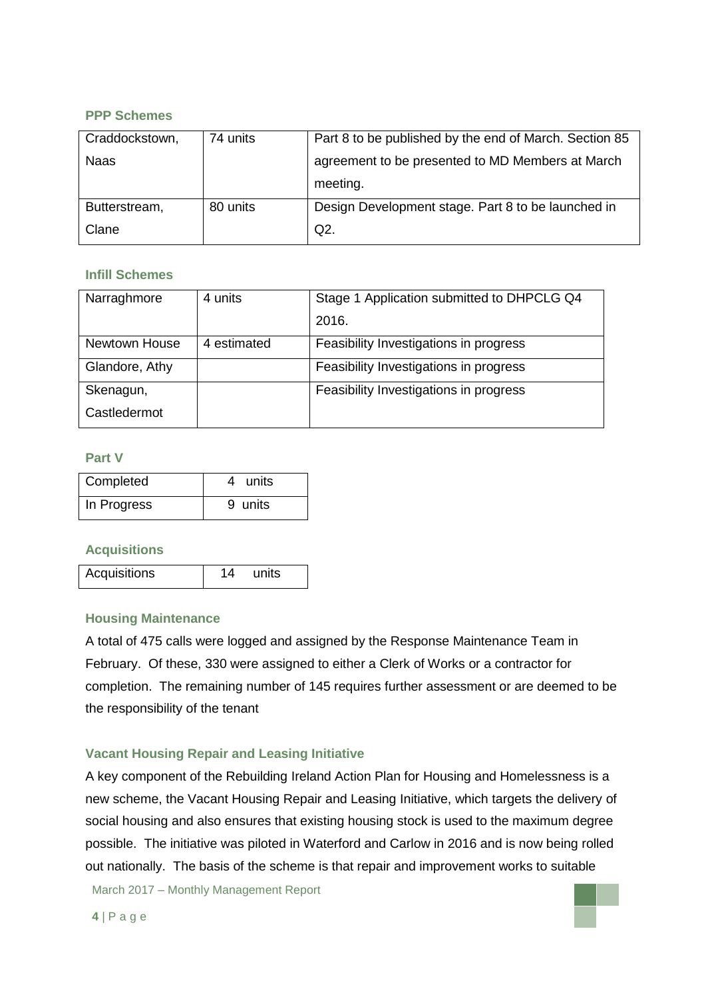### **PPP Schemes**

| Craddockstown, | 74 units | Part 8 to be published by the end of March. Section 85 |  |
|----------------|----------|--------------------------------------------------------|--|
| <b>Naas</b>    |          | agreement to be presented to MD Members at March       |  |
|                |          | meeting.                                               |  |
| Butterstream,  | 80 units | Design Development stage. Part 8 to be launched in     |  |
| Clane          |          | $Q2$ .                                                 |  |

### **Infill Schemes**

| Narraghmore    | 4 units     | Stage 1 Application submitted to DHPCLG Q4 |  |
|----------------|-------------|--------------------------------------------|--|
|                |             | 2016.                                      |  |
| Newtown House  | 4 estimated | Feasibility Investigations in progress     |  |
| Glandore, Athy |             | Feasibility Investigations in progress     |  |
| Skenagun,      |             | Feasibility Investigations in progress     |  |
| Castledermot   |             |                                            |  |

### **Part V**

| Completed   | 4 units |
|-------------|---------|
| In Progress | 9 units |

### **Acquisitions**

| Acquisitions<br>units |  |
|-----------------------|--|
|-----------------------|--|

### **Housing Maintenance**

A total of 475 calls were logged and assigned by the Response Maintenance Team in February. Of these, 330 were assigned to either a Clerk of Works or a contractor for completion. The remaining number of 145 requires further assessment or are deemed to be the responsibility of the tenant

### **Vacant Housing Repair and Leasing Initiative**

A key component of the Rebuilding Ireland Action Plan for Housing and Homelessness is a new scheme, the Vacant Housing Repair and Leasing Initiative, which targets the delivery of social housing and also ensures that existing housing stock is used to the maximum degree possible. The initiative was piloted in Waterford and Carlow in 2016 and is now being rolled out nationally. The basis of the scheme is that repair and improvement works to suitable

March 2017 – Monthly Management Report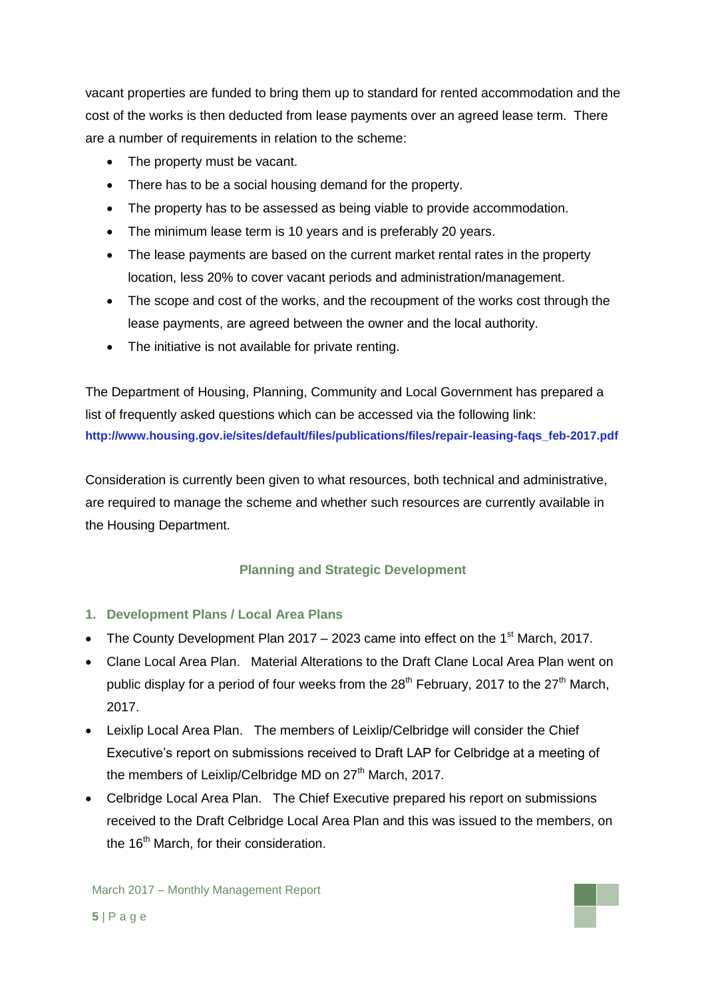vacant properties are funded to bring them up to standard for rented accommodation and the cost of the works is then deducted from lease payments over an agreed lease term. There are a number of requirements in relation to the scheme:

- The property must be vacant.
- There has to be a social housing demand for the property.
- The property has to be assessed as being viable to provide accommodation.
- The minimum lease term is 10 years and is preferably 20 years.
- The lease payments are based on the current market rental rates in the property location, less 20% to cover vacant periods and administration/management.
- The scope and cost of the works, and the recoupment of the works cost through the lease payments, are agreed between the owner and the local authority.
- The initiative is not available for private renting.

The Department of Housing, Planning, Community and Local Government has prepared a list of frequently asked questions which can be accessed via the following link: **[http://www.housing.gov.ie/sites/default/files/publications/files/repair-leasing-faqs\\_feb-2017.pdf](http://www.housing.gov.ie/sites/default/files/publications/files/repair-leasing-faqs_feb-2017.pdf)**

Consideration is currently been given to what resources, both technical and administrative, are required to manage the scheme and whether such resources are currently available in the Housing Department.

### **Planning and Strategic Development**

### **1. Development Plans / Local Area Plans**

- The County Development Plan  $2017 2023$  came into effect on the 1<sup>st</sup> March, 2017.
- Clane Local Area Plan. Material Alterations to the Draft Clane Local Area Plan went on public display for a period of four weeks from the  $28<sup>th</sup>$  February, 2017 to the  $27<sup>th</sup>$  March, 2017.
- Leixlip Local Area Plan. The members of Leixlip/Celbridge will consider the Chief Executive's report on submissions received to Draft LAP for Celbridge at a meeting of the members of Leixlip/Celbridge MD on 27<sup>th</sup> March, 2017.
- Celbridge Local Area Plan. The Chief Executive prepared his report on submissions received to the Draft Celbridge Local Area Plan and this was issued to the members, on the 16<sup>th</sup> March, for their consideration.

March 2017 – Monthly Management Report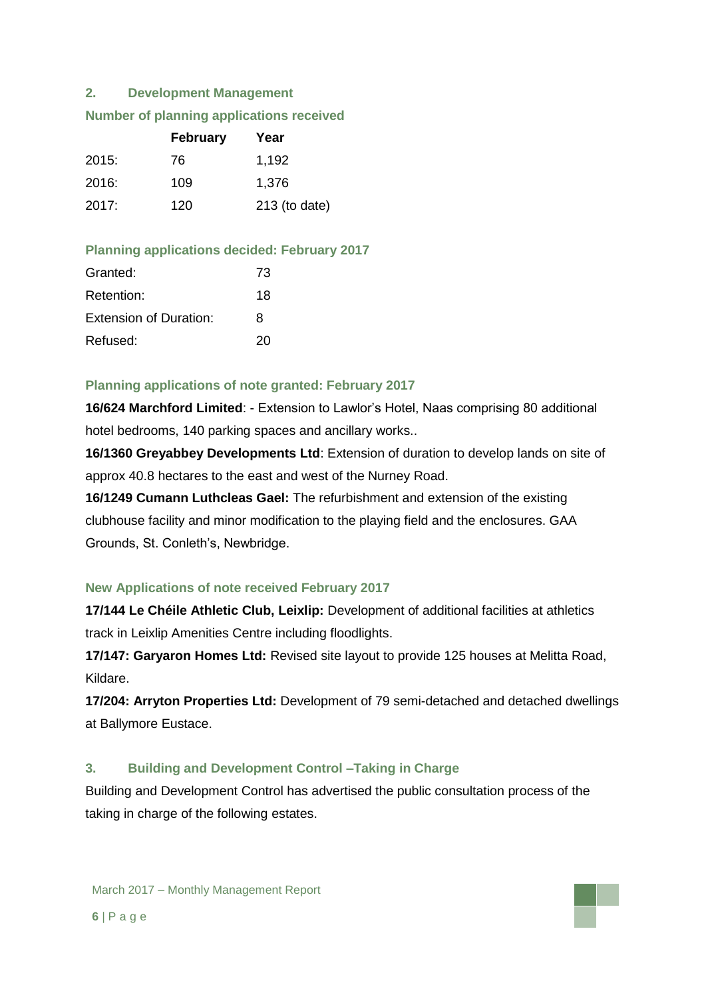### **2. Development Management**

|  | <b>Number of planning applications received</b> |  |
|--|-------------------------------------------------|--|
|  |                                                 |  |

|       | <b>February</b> | Year            |  |  |
|-------|-----------------|-----------------|--|--|
| 2015: | 76              | 1,192           |  |  |
| 2016: | 109             | 1,376           |  |  |
| 2017: | 120             | $213$ (to date) |  |  |

### **Planning applications decided: February 2017**

| Granted:                      | 73 |
|-------------------------------|----|
| Retention:                    | 18 |
| <b>Extension of Duration:</b> | 8  |
| Refused:                      | 20 |

### **Planning applications of note granted: February 2017**

**16/624 Marchford Limited**: - Extension to Lawlor's Hotel, Naas comprising 80 additional hotel bedrooms, 140 parking spaces and ancillary works..

**16/1360 Greyabbey Developments Ltd**: Extension of duration to develop lands on site of approx 40.8 hectares to the east and west of the Nurney Road.

**16/1249 Cumann Luthcleas Gael:** The refurbishment and extension of the existing clubhouse facility and minor modification to the playing field and the enclosures. GAA Grounds, St. Conleth's, Newbridge.

### **New Applications of note received February 2017**

**17/144 Le Chéile Athletic Club, Leixlip:** Development of additional facilities at athletics track in Leixlip Amenities Centre including floodlights.

**17/147: Garyaron Homes Ltd:** Revised site layout to provide 125 houses at Melitta Road, Kildare.

**17/204: Arryton Properties Ltd:** Development of 79 semi-detached and detached dwellings at Ballymore Eustace.

### **3. Building and Development Control –Taking in Charge**

Building and Development Control has advertised the public consultation process of the taking in charge of the following estates.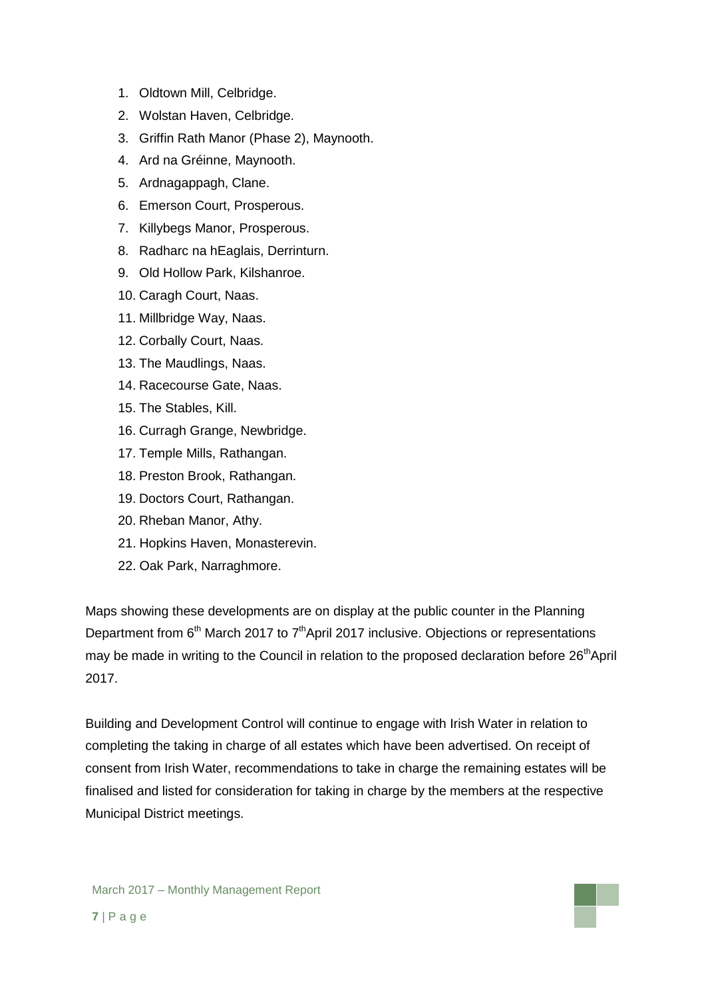- 1. Oldtown Mill, Celbridge.
- 2. Wolstan Haven, Celbridge.
- 3. Griffin Rath Manor (Phase 2), Maynooth.
- 4. Ard na Gréinne, Maynooth.
- 5. Ardnagappagh, Clane.
- 6. Emerson Court, Prosperous.
- 7. Killybegs Manor, Prosperous.
- 8. Radharc na hEaglais, Derrinturn.
- 9. Old Hollow Park, Kilshanroe.
- 10. Caragh Court, Naas.
- 11. Millbridge Way, Naas.
- 12. Corbally Court, Naas.
- 13. The Maudlings, Naas.
- 14. Racecourse Gate, Naas.
- 15. The Stables, Kill.
- 16. Curragh Grange, Newbridge.
- 17. Temple Mills, Rathangan.
- 18. Preston Brook, Rathangan.
- 19. Doctors Court, Rathangan.
- 20. Rheban Manor, Athy.
- 21. Hopkins Haven, Monasterevin.
- 22. Oak Park, Narraghmore.

Maps showing these developments are on display at the public counter in the Planning Department from  $6<sup>th</sup>$  March 2017 to  $7<sup>th</sup>$  April 2017 inclusive. Objections or representations may be made in writing to the Council in relation to the proposed declaration before 26<sup>th</sup>April 2017.

Building and Development Control will continue to engage with Irish Water in relation to completing the taking in charge of all estates which have been advertised. On receipt of consent from Irish Water, recommendations to take in charge the remaining estates will be finalised and listed for consideration for taking in charge by the members at the respective Municipal District meetings.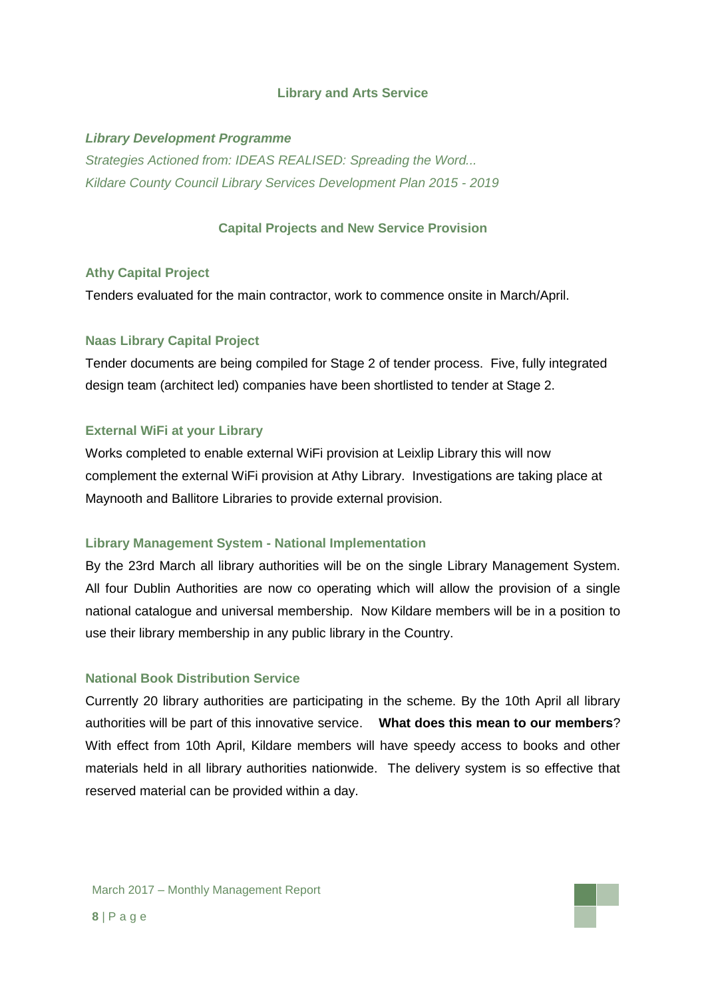#### **Library and Arts Service**

### *Library Development Programme*

*Strategies Actioned from: IDEAS REALISED: Spreading the Word... Kildare County Council Library Services Development Plan 2015 - 2019*

### **Capital Projects and New Service Provision**

#### **Athy Capital Project**

Tenders evaluated for the main contractor, work to commence onsite in March/April.

### **Naas Library Capital Project**

Tender documents are being compiled for Stage 2 of tender process. Five, fully integrated design team (architect led) companies have been shortlisted to tender at Stage 2.

### **External WiFi at your Library**

Works completed to enable external WiFi provision at Leixlip Library this will now complement the external WiFi provision at Athy Library. Investigations are taking place at Maynooth and Ballitore Libraries to provide external provision.

#### **Library Management System - National Implementation**

By the 23rd March all library authorities will be on the single Library Management System. All four Dublin Authorities are now co operating which will allow the provision of a single national catalogue and universal membership. Now Kildare members will be in a position to use their library membership in any public library in the Country.

### **National Book Distribution Service**

Currently 20 library authorities are participating in the scheme. By the 10th April all library authorities will be part of this innovative service. **What does this mean to our members**? With effect from 10th April, Kildare members will have speedy access to books and other materials held in all library authorities nationwide. The delivery system is so effective that reserved material can be provided within a day.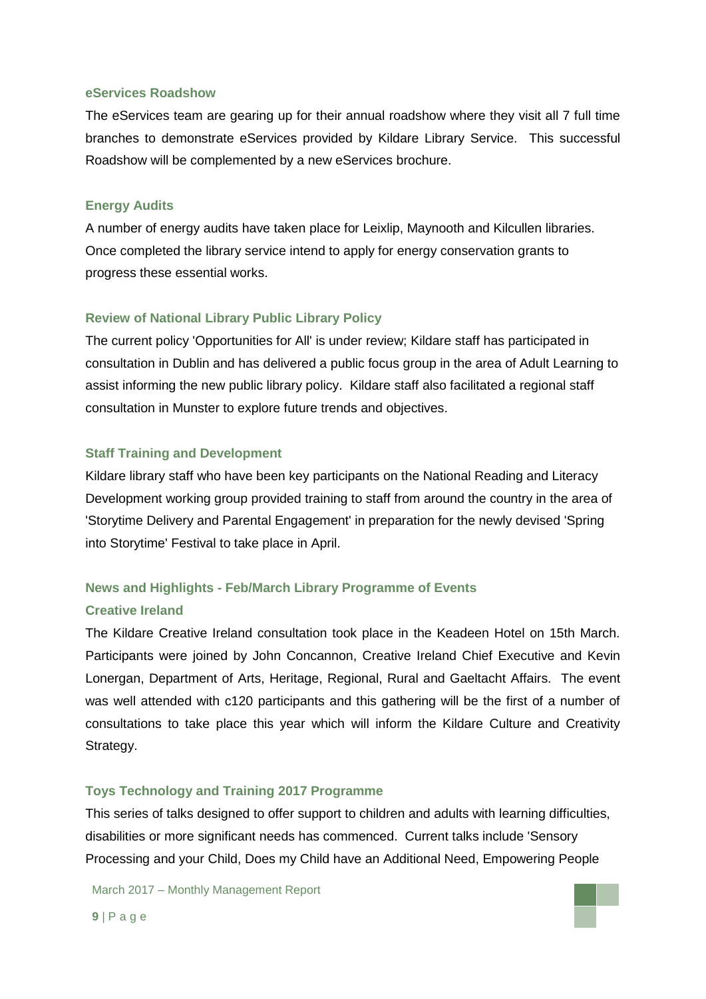#### **eServices Roadshow**

The eServices team are gearing up for their annual roadshow where they visit all 7 full time branches to demonstrate eServices provided by Kildare Library Service. This successful Roadshow will be complemented by a new eServices brochure.

#### **Energy Audits**

A number of energy audits have taken place for Leixlip, Maynooth and Kilcullen libraries. Once completed the library service intend to apply for energy conservation grants to progress these essential works.

### **Review of National Library Public Library Policy**

The current policy 'Opportunities for All' is under review; Kildare staff has participated in consultation in Dublin and has delivered a public focus group in the area of Adult Learning to assist informing the new public library policy. Kildare staff also facilitated a regional staff consultation in Munster to explore future trends and objectives.

### **Staff Training and Development**

Kildare library staff who have been key participants on the National Reading and Literacy Development working group provided training to staff from around the country in the area of 'Storytime Delivery and Parental Engagement' in preparation for the newly devised 'Spring into Storytime' Festival to take place in April.

### **News and Highlights - Feb/March Library Programme of Events**

#### **Creative Ireland**

The Kildare Creative Ireland consultation took place in the Keadeen Hotel on 15th March. Participants were joined by John Concannon, Creative Ireland Chief Executive and Kevin Lonergan, Department of Arts, Heritage, Regional, Rural and Gaeltacht Affairs. The event was well attended with c120 participants and this gathering will be the first of a number of consultations to take place this year which will inform the Kildare Culture and Creativity Strategy.

#### **Toys Technology and Training 2017 Programme**

This series of talks designed to offer support to children and adults with learning difficulties, disabilities or more significant needs has commenced. Current talks include 'Sensory Processing and your Child, Does my Child have an Additional Need, Empowering People

March 2017 – Monthly Management Report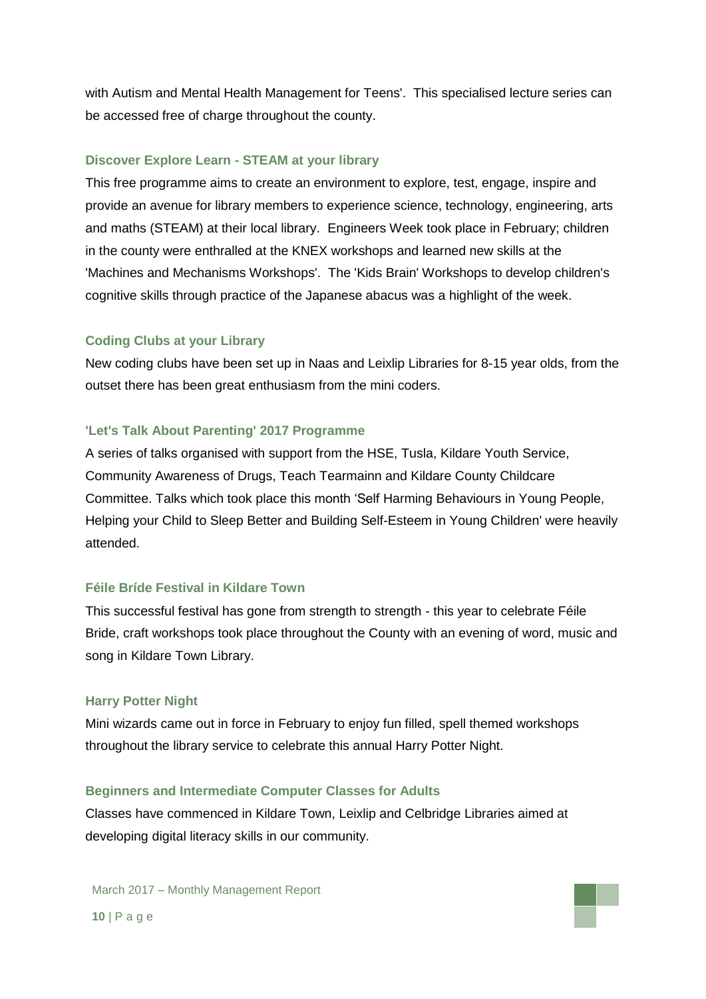with Autism and Mental Health Management for Teens'. This specialised lecture series can be accessed free of charge throughout the county.

#### **Discover Explore Learn - STEAM at your library**

This free programme aims to create an environment to explore, test, engage, inspire and provide an avenue for library members to experience science, technology, engineering, arts and maths (STEAM) at their local library. Engineers Week took place in February; children in the county were enthralled at the KNEX workshops and learned new skills at the 'Machines and Mechanisms Workshops'. The 'Kids Brain' Workshops to develop children's cognitive skills through practice of the Japanese abacus was a highlight of the week.

#### **Coding Clubs at your Library**

New coding clubs have been set up in Naas and Leixlip Libraries for 8-15 year olds, from the outset there has been great enthusiasm from the mini coders.

#### **'Let's Talk About Parenting' 2017 Programme**

A series of talks organised with support from the HSE, Tusla, Kildare Youth Service, Community Awareness of Drugs, Teach Tearmainn and Kildare County Childcare Committee. Talks which took place this month 'Self Harming Behaviours in Young People, Helping your Child to Sleep Better and Building Self-Esteem in Young Children' were heavily attended.

### **Féile Bríde Festival in Kildare Town**

This successful festival has gone from strength to strength - this year to celebrate Féile Bride, craft workshops took place throughout the County with an evening of word, music and song in Kildare Town Library.

#### **Harry Potter Night**

Mini wizards came out in force in February to enjoy fun filled, spell themed workshops throughout the library service to celebrate this annual Harry Potter Night.

#### **Beginners and Intermediate Computer Classes for Adults**

Classes have commenced in Kildare Town, Leixlip and Celbridge Libraries aimed at developing digital literacy skills in our community.

March 2017 – Monthly Management Report

**10** | P a g e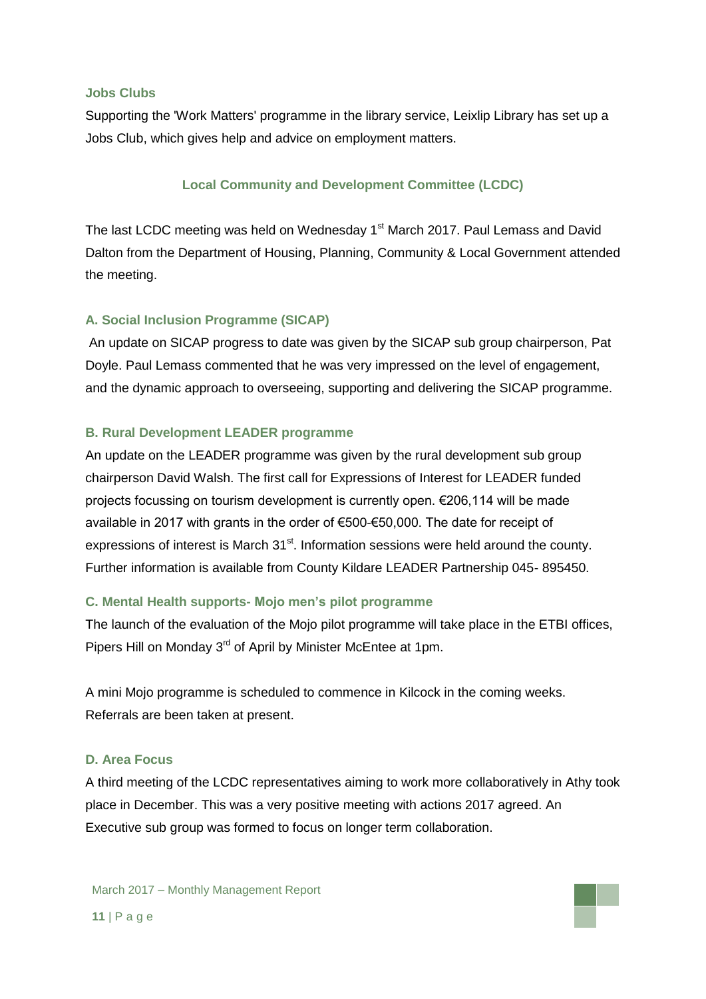### **Jobs Clubs**

Supporting the 'Work Matters' programme in the library service, Leixlip Library has set up a Jobs Club, which gives help and advice on employment matters.

### **Local Community and Development Committee (LCDC)**

The last LCDC meeting was held on Wednesday 1<sup>st</sup> March 2017. Paul Lemass and David Dalton from the Department of Housing, Planning, Community & Local Government attended the meeting.

### **A. Social Inclusion Programme (SICAP)**

An update on SICAP progress to date was given by the SICAP sub group chairperson, Pat Doyle. Paul Lemass commented that he was very impressed on the level of engagement, and the dynamic approach to overseeing, supporting and delivering the SICAP programme.

### **B. Rural Development LEADER programme**

An update on the LEADER programme was given by the rural development sub group chairperson David Walsh. The first call for Expressions of Interest for LEADER funded projects focussing on tourism development is currently open. €206,114 will be made available in 2017 with grants in the order of €500-€50,000. The date for receipt of expressions of interest is March  $31<sup>st</sup>$ . Information sessions were held around the county. Further information is available from County Kildare LEADER Partnership 045- 895450.

### **C. Mental Health supports- Mojo men's pilot programme**

The launch of the evaluation of the Mojo pilot programme will take place in the ETBI offices, Pipers Hill on Monday 3<sup>rd</sup> of April by Minister McEntee at 1pm.

A mini Mojo programme is scheduled to commence in Kilcock in the coming weeks. Referrals are been taken at present.

### **D. Area Focus**

A third meeting of the LCDC representatives aiming to work more collaboratively in Athy took place in December. This was a very positive meeting with actions 2017 agreed. An Executive sub group was formed to focus on longer term collaboration.

March 2017 – Monthly Management Report

**11** | P a g e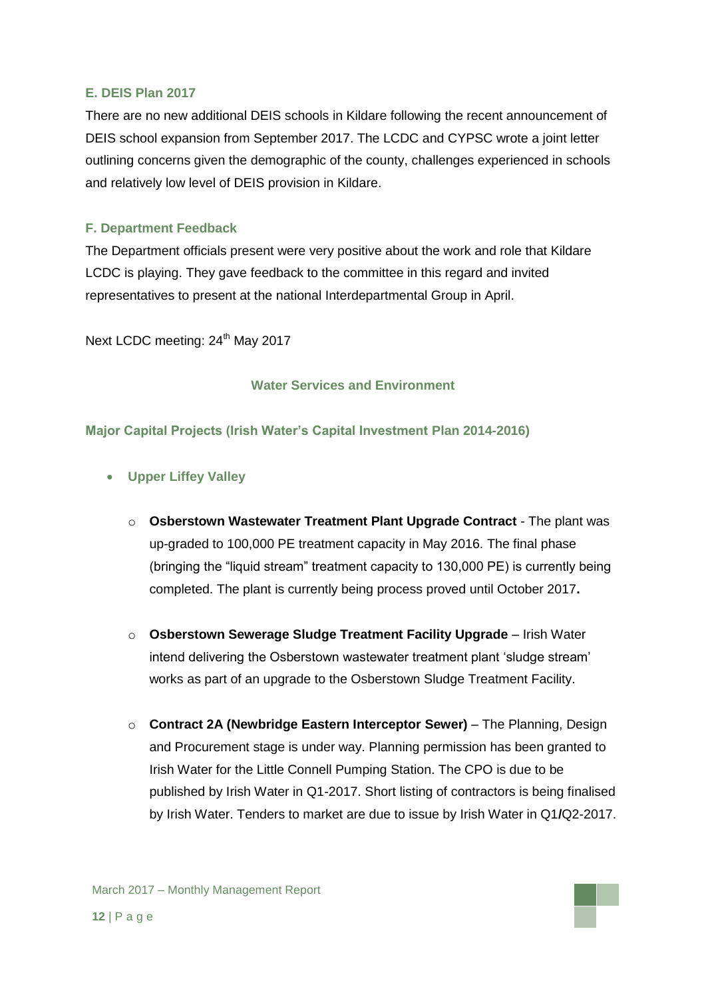### **E. DEIS Plan 2017**

There are no new additional DEIS schools in Kildare following the recent announcement of DEIS school expansion from September 2017. The LCDC and CYPSC wrote a joint letter outlining concerns given the demographic of the county, challenges experienced in schools and relatively low level of DEIS provision in Kildare.

### **F. Department Feedback**

The Department officials present were very positive about the work and role that Kildare LCDC is playing. They gave feedback to the committee in this regard and invited representatives to present at the national Interdepartmental Group in April.

Next LCDC meeting: 24<sup>th</sup> May 2017

### **Water Services and Environment**

### **Major Capital Projects (Irish Water's Capital Investment Plan 2014-2016)**

- **Upper Liffey Valley** 
	- o **Osberstown Wastewater Treatment Plant Upgrade Contract** The plant was up-graded to 100,000 PE treatment capacity in May 2016. The final phase (bringing the "liquid stream" treatment capacity to 130,000 PE) is currently being completed. The plant is currently being process proved until October 2017**.**
	- o **Osberstown Sewerage Sludge Treatment Facility Upgrade** Irish Water intend delivering the Osberstown wastewater treatment plant 'sludge stream' works as part of an upgrade to the Osberstown Sludge Treatment Facility.
	- o **Contract 2A (Newbridge Eastern Interceptor Sewer)** The Planning, Design and Procurement stage is under way. Planning permission has been granted to Irish Water for the Little Connell Pumping Station. The CPO is due to be published by Irish Water in Q1-2017. Short listing of contractors is being finalised by Irish Water. Tenders to market are due to issue by Irish Water in Q1**/**Q2-2017.

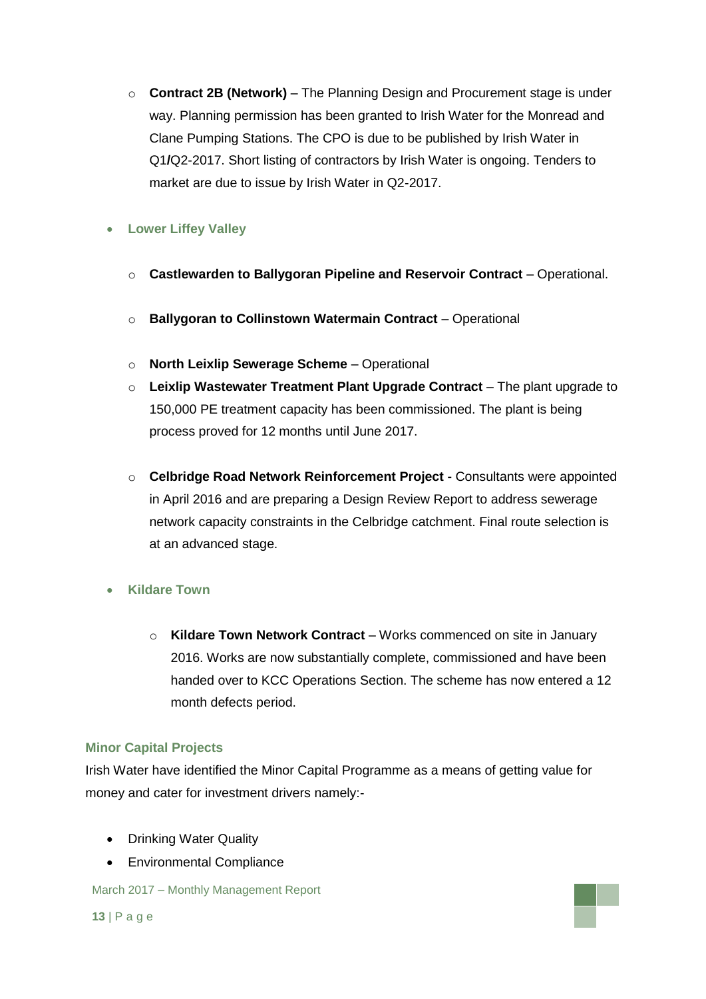o **Contract 2B (Network)** – The Planning Design and Procurement stage is under way. Planning permission has been granted to Irish Water for the Monread and Clane Pumping Stations. The CPO is due to be published by Irish Water in Q1**/**Q2-2017. Short listing of contractors by Irish Water is ongoing. Tenders to market are due to issue by Irish Water in Q2-2017.

### **Lower Liffey Valley**

- o **Castlewarden to Ballygoran Pipeline and Reservoir Contract** Operational.
- o **Ballygoran to Collinstown Watermain Contract** Operational
- o **North Leixlip Sewerage Scheme** Operational
- o **Leixlip Wastewater Treatment Plant Upgrade Contract** The plant upgrade to 150,000 PE treatment capacity has been commissioned. The plant is being process proved for 12 months until June 2017.
- o **Celbridge Road Network Reinforcement Project -** Consultants were appointed in April 2016 and are preparing a Design Review Report to address sewerage network capacity constraints in the Celbridge catchment. Final route selection is at an advanced stage.

### **Kildare Town**

o **Kildare Town Network Contract** – Works commenced on site in January 2016. Works are now substantially complete, commissioned and have been handed over to KCC Operations Section. The scheme has now entered a 12 month defects period.

### **Minor Capital Projects**

Irish Water have identified the Minor Capital Programme as a means of getting value for money and cater for investment drivers namely:-

- Drinking Water Quality
- Environmental Compliance

March 2017 – Monthly Management Report

**13** | P a g e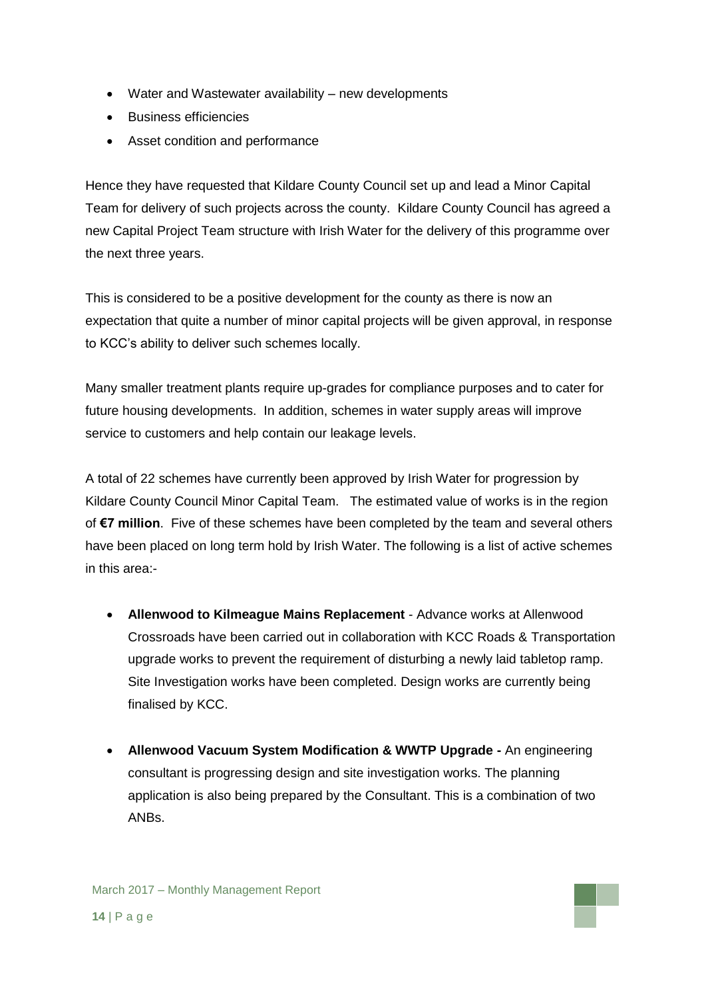- Water and Wastewater availability new developments
- **Business efficiencies**
- Asset condition and performance

Hence they have requested that Kildare County Council set up and lead a Minor Capital Team for delivery of such projects across the county. Kildare County Council has agreed a new Capital Project Team structure with Irish Water for the delivery of this programme over the next three years.

This is considered to be a positive development for the county as there is now an expectation that quite a number of minor capital projects will be given approval, in response to KCC's ability to deliver such schemes locally.

Many smaller treatment plants require up-grades for compliance purposes and to cater for future housing developments. In addition, schemes in water supply areas will improve service to customers and help contain our leakage levels.

A total of 22 schemes have currently been approved by Irish Water for progression by Kildare County Council Minor Capital Team. The estimated value of works is in the region of **€7 million**. Five of these schemes have been completed by the team and several others have been placed on long term hold by Irish Water. The following is a list of active schemes in this area:-

- **Allenwood to Kilmeague Mains Replacement** Advance works at Allenwood Crossroads have been carried out in collaboration with KCC Roads & Transportation upgrade works to prevent the requirement of disturbing a newly laid tabletop ramp. Site Investigation works have been completed. Design works are currently being finalised by KCC.
- **Allenwood Vacuum System Modification & WWTP Upgrade -** An engineering consultant is progressing design and site investigation works. The planning application is also being prepared by the Consultant. This is a combination of two ANBs.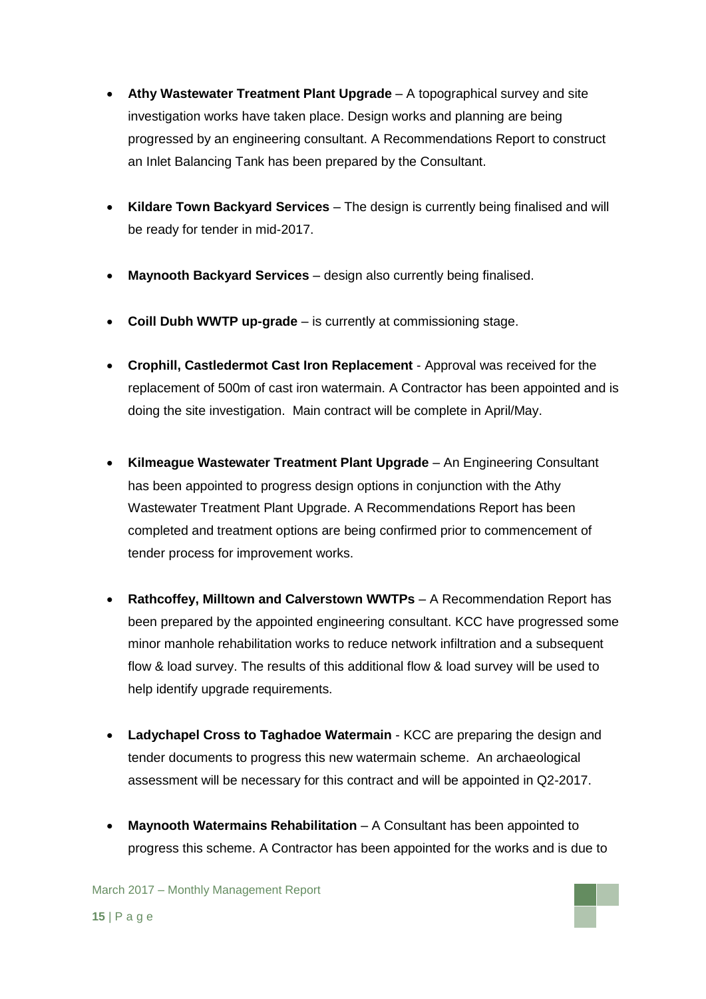- **Athy Wastewater Treatment Plant Upgrade** A topographical survey and site investigation works have taken place. Design works and planning are being progressed by an engineering consultant. A Recommendations Report to construct an Inlet Balancing Tank has been prepared by the Consultant.
- **Kildare Town Backyard Services** The design is currently being finalised and will be ready for tender in mid-2017.
- **Maynooth Backyard Services** design also currently being finalised.
- **Coill Dubh WWTP up-grade** is currently at commissioning stage.
- **Crophill, Castledermot Cast Iron Replacement**  Approval was received for the replacement of 500m of cast iron watermain. A Contractor has been appointed and is doing the site investigation. Main contract will be complete in April/May.
- **Kilmeague Wastewater Treatment Plant Upgrade** An Engineering Consultant has been appointed to progress design options in conjunction with the Athy Wastewater Treatment Plant Upgrade. A Recommendations Report has been completed and treatment options are being confirmed prior to commencement of tender process for improvement works.
- **Rathcoffey, Milltown and Calverstown WWTPs** A Recommendation Report has been prepared by the appointed engineering consultant. KCC have progressed some minor manhole rehabilitation works to reduce network infiltration and a subsequent flow & load survey. The results of this additional flow & load survey will be used to help identify upgrade requirements.
- **Ladychapel Cross to Taghadoe Watermain** KCC are preparing the design and tender documents to progress this new watermain scheme. An archaeological assessment will be necessary for this contract and will be appointed in Q2-2017.
- **Maynooth Watermains Rehabilitation** A Consultant has been appointed to progress this scheme. A Contractor has been appointed for the works and is due to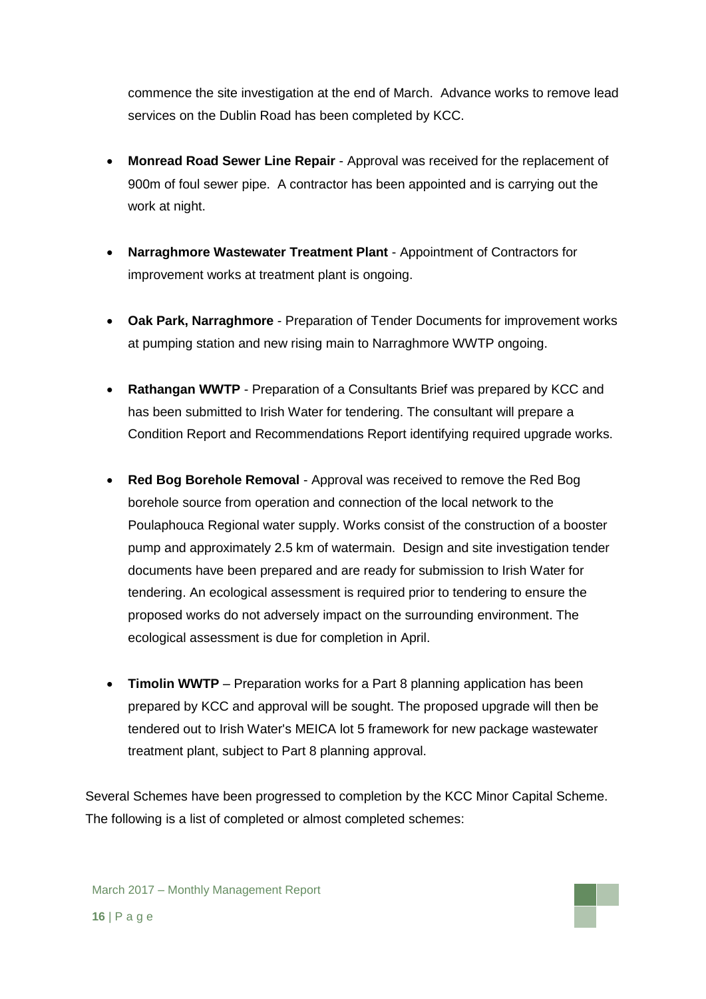commence the site investigation at the end of March. Advance works to remove lead services on the Dublin Road has been completed by KCC.

- **Monread Road Sewer Line Repair**  Approval was received for the replacement of 900m of foul sewer pipe. A contractor has been appointed and is carrying out the work at night.
- **Narraghmore Wastewater Treatment Plant**  Appointment of Contractors for improvement works at treatment plant is ongoing.
- **Oak Park, Narraghmore**  Preparation of Tender Documents for improvement works at pumping station and new rising main to Narraghmore WWTP ongoing.
- **Rathangan WWTP** Preparation of a Consultants Brief was prepared by KCC and has been submitted to Irish Water for tendering. The consultant will prepare a Condition Report and Recommendations Report identifying required upgrade works.
- **Red Bog Borehole Removal**  Approval was received to remove the Red Bog borehole source from operation and connection of the local network to the Poulaphouca Regional water supply. Works consist of the construction of a booster pump and approximately 2.5 km of watermain. Design and site investigation tender documents have been prepared and are ready for submission to Irish Water for tendering. An ecological assessment is required prior to tendering to ensure the proposed works do not adversely impact on the surrounding environment. The ecological assessment is due for completion in April.
- **Timolin WWTP** Preparation works for a Part 8 planning application has been prepared by KCC and approval will be sought. The proposed upgrade will then be tendered out to Irish Water's MEICA lot 5 framework for new package wastewater treatment plant, subject to Part 8 planning approval.

Several Schemes have been progressed to completion by the KCC Minor Capital Scheme. The following is a list of completed or almost completed schemes: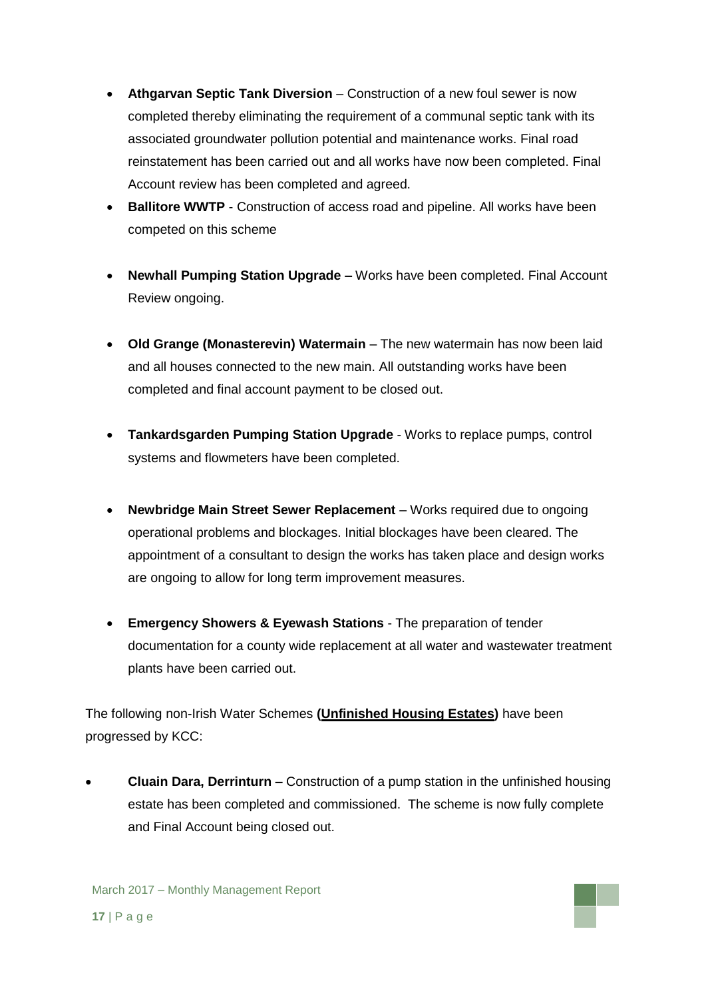- **Athgarvan Septic Tank Diversion** Construction of a new foul sewer is now completed thereby eliminating the requirement of a communal septic tank with its associated groundwater pollution potential and maintenance works. Final road reinstatement has been carried out and all works have now been completed. Final Account review has been completed and agreed.
- **Ballitore WWTP** Construction of access road and pipeline. All works have been competed on this scheme
- **Newhall Pumping Station Upgrade –** Works have been completed. Final Account Review ongoing.
- **Old Grange (Monasterevin) Watermain** The new watermain has now been laid and all houses connected to the new main. All outstanding works have been completed and final account payment to be closed out.
- **Tankardsgarden Pumping Station Upgrade** Works to replace pumps, control systems and flowmeters have been completed.
- **Newbridge Main Street Sewer Replacement** Works required due to ongoing operational problems and blockages. Initial blockages have been cleared. The appointment of a consultant to design the works has taken place and design works are ongoing to allow for long term improvement measures.
- **Emergency Showers & Eyewash Stations** The preparation of tender documentation for a county wide replacement at all water and wastewater treatment plants have been carried out.

The following non-Irish Water Schemes **(Unfinished Housing Estates)** have been progressed by KCC:

 **Cluain Dara, Derrinturn –** Construction of a pump station in the unfinished housing estate has been completed and commissioned. The scheme is now fully complete and Final Account being closed out.

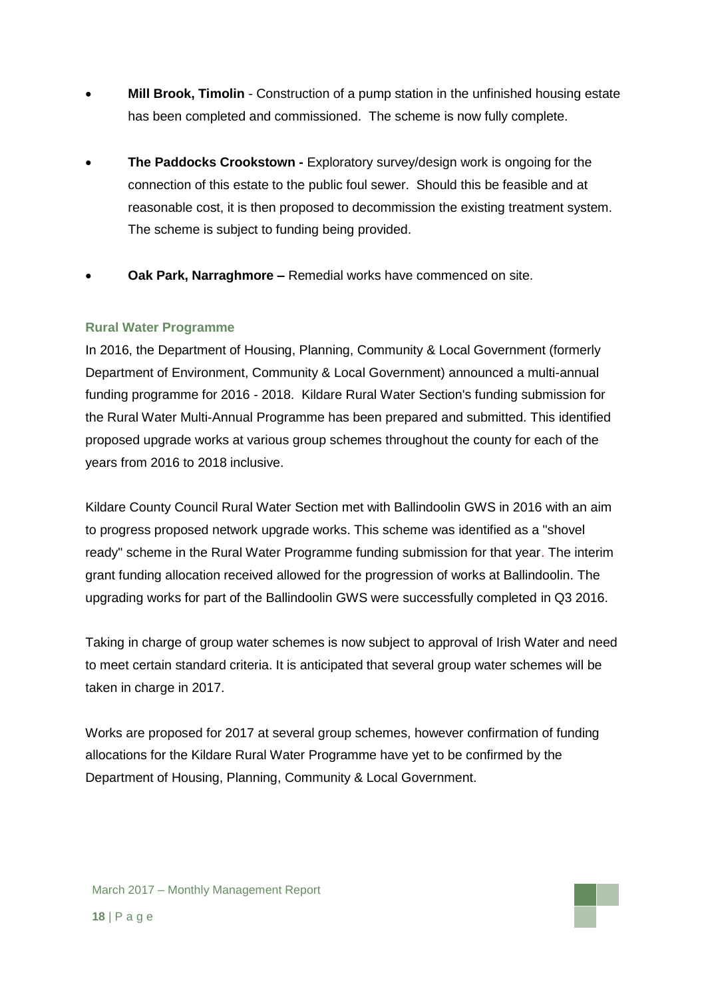- **Mill Brook, Timolin** Construction of a pump station in the unfinished housing estate has been completed and commissioned. The scheme is now fully complete.
- **The Paddocks Crookstown -** Exploratory survey/design work is ongoing for the connection of this estate to the public foul sewer. Should this be feasible and at reasonable cost, it is then proposed to decommission the existing treatment system. The scheme is subject to funding being provided.
- **Oak Park, Narraghmore –** Remedial works have commenced on site.

### **Rural Water Programme**

In 2016, the Department of Housing, Planning, Community & Local Government (formerly Department of Environment, Community & Local Government) announced a multi-annual funding programme for 2016 - 2018. Kildare Rural Water Section's funding submission for the Rural Water Multi-Annual Programme has been prepared and submitted. This identified proposed upgrade works at various group schemes throughout the county for each of the years from 2016 to 2018 inclusive.

Kildare County Council Rural Water Section met with Ballindoolin GWS in 2016 with an aim to progress proposed network upgrade works. This scheme was identified as a "shovel ready" scheme in the Rural Water Programme funding submission for that year. The interim grant funding allocation received allowed for the progression of works at Ballindoolin. The upgrading works for part of the Ballindoolin GWS were successfully completed in Q3 2016.

Taking in charge of group water schemes is now subject to approval of Irish Water and need to meet certain standard criteria. It is anticipated that several group water schemes will be taken in charge in 2017.

Works are proposed for 2017 at several group schemes, however confirmation of funding allocations for the Kildare Rural Water Programme have yet to be confirmed by the Department of Housing, Planning, Community & Local Government.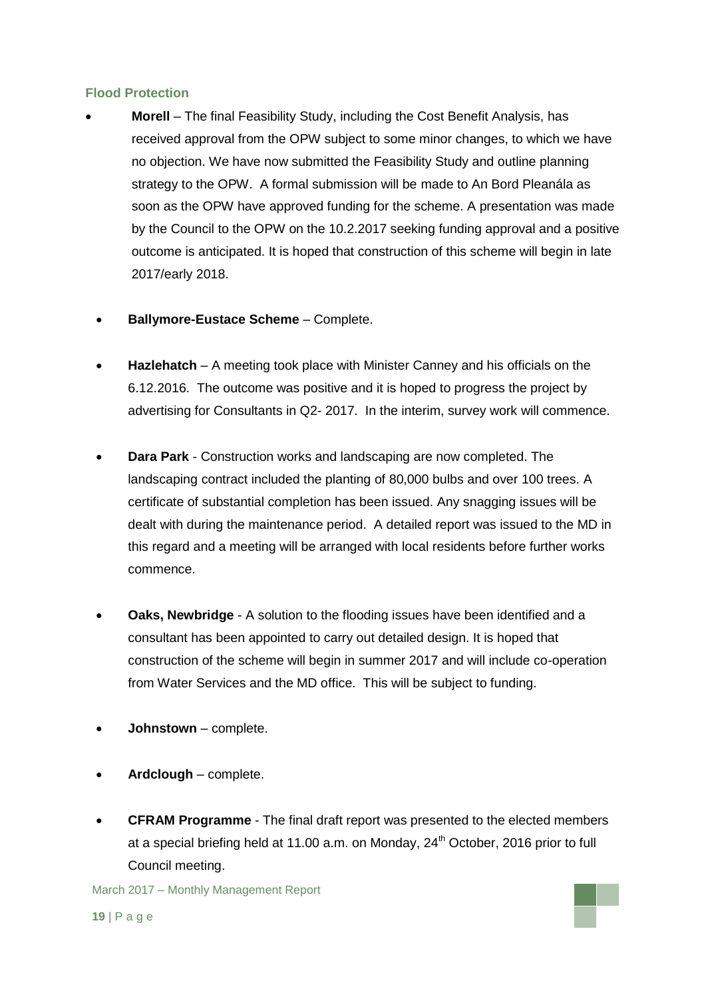### **Flood Protection**

- **Morell**  The final Feasibility Study, including the Cost Benefit Analysis, has received approval from the OPW subject to some minor changes, to which we have no objection. We have now submitted the Feasibility Study and outline planning strategy to the OPW. A formal submission will be made to An Bord Pleanála as soon as the OPW have approved funding for the scheme. A presentation was made by the Council to the OPW on the 10.2.2017 seeking funding approval and a positive outcome is anticipated. It is hoped that construction of this scheme will begin in late 2017/early 2018.
	- **Ballymore-Eustace Scheme** Complete.
	- **Hazlehatch** A meeting took place with Minister Canney and his officials on the 6.12.2016. The outcome was positive and it is hoped to progress the project by advertising for Consultants in Q2- 2017. In the interim, survey work will commence.
	- **Dara Park** Construction works and landscaping are now completed. The landscaping contract included the planting of 80,000 bulbs and over 100 trees. A certificate of substantial completion has been issued. Any snagging issues will be dealt with during the maintenance period. A detailed report was issued to the MD in this regard and a meeting will be arranged with local residents before further works commence.
	- **Oaks, Newbridge** A solution to the flooding issues have been identified and a consultant has been appointed to carry out detailed design. It is hoped that construction of the scheme will begin in summer 2017 and will include co-operation from Water Services and the MD office. This will be subject to funding.
	- **Johnstown**  complete.
	- **Ardclough** complete.
	- **CFRAM Programme** The final draft report was presented to the elected members at a special briefing held at 11.00 a.m. on Monday,  $24<sup>th</sup>$  October, 2016 prior to full Council meeting.

March 2017 – Monthly Management Report

**19** | P a g e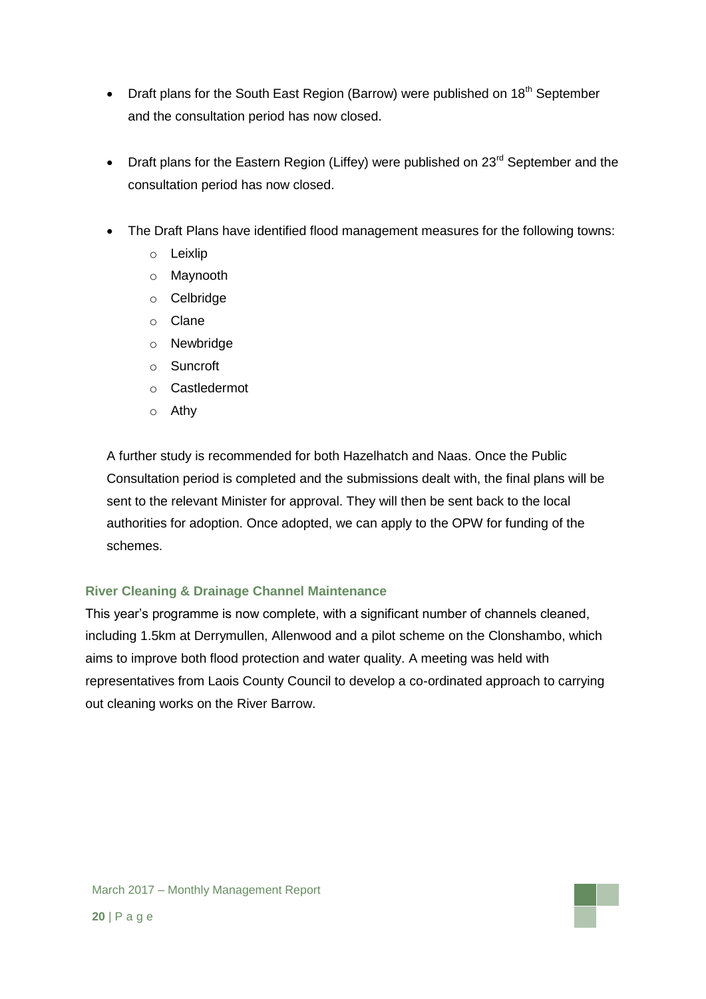- Draft plans for the South East Region (Barrow) were published on  $18<sup>th</sup>$  September and the consultation period has now closed.
- Draft plans for the Eastern Region (Liffey) were published on  $23<sup>rd</sup>$  September and the consultation period has now closed.
- The Draft Plans have identified flood management measures for the following towns:
	- o Leixlip
	- o Maynooth
	- o Celbridge
	- o Clane
	- o Newbridge
	- o Suncroft
	- o Castledermot
	- o Athy

A further study is recommended for both Hazelhatch and Naas. Once the Public Consultation period is completed and the submissions dealt with, the final plans will be sent to the relevant Minister for approval. They will then be sent back to the local authorities for adoption. Once adopted, we can apply to the OPW for funding of the schemes.

### **River Cleaning & Drainage Channel Maintenance**

This year's programme is now complete, with a significant number of channels cleaned, including 1.5km at Derrymullen, Allenwood and a pilot scheme on the Clonshambo, which aims to improve both flood protection and water quality. A meeting was held with representatives from Laois County Council to develop a co-ordinated approach to carrying out cleaning works on the River Barrow.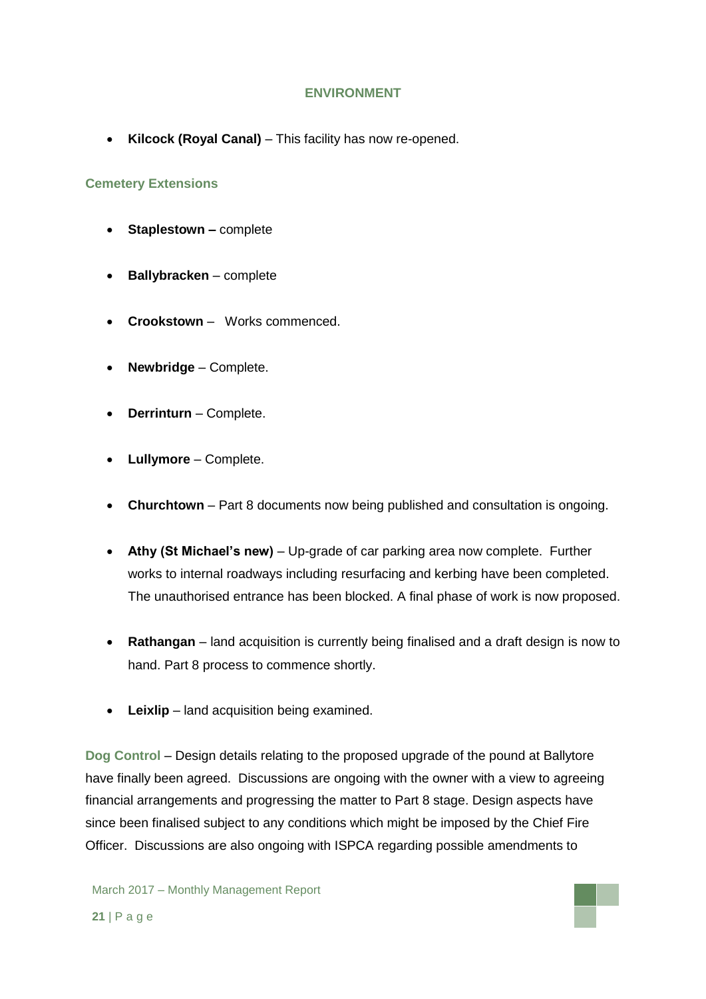### **ENVIRONMENT**

**Kilcock (Royal Canal)** – This facility has now re-opened.

### **Cemetery Extensions**

- **Staplestown –** complete
- **Ballybracken** complete
- **Crookstown**  Works commenced.
- **Newbridge**  Complete.
- **Derrinturn** Complete.
- **Lullymore** Complete.
- **Churchtown** Part 8 documents now being published and consultation is ongoing.
- **Athy (St Michael's new)** Up-grade of car parking area now complete. Further works to internal roadways including resurfacing and kerbing have been completed. The unauthorised entrance has been blocked. A final phase of work is now proposed.
- **Rathangan** land acquisition is currently being finalised and a draft design is now to hand. Part 8 process to commence shortly.
- **Leixlip** land acquisition being examined.

**Dog Control** – Design details relating to the proposed upgrade of the pound at Ballytore have finally been agreed. Discussions are ongoing with the owner with a view to agreeing financial arrangements and progressing the matter to Part 8 stage. Design aspects have since been finalised subject to any conditions which might be imposed by the Chief Fire Officer. Discussions are also ongoing with ISPCA regarding possible amendments to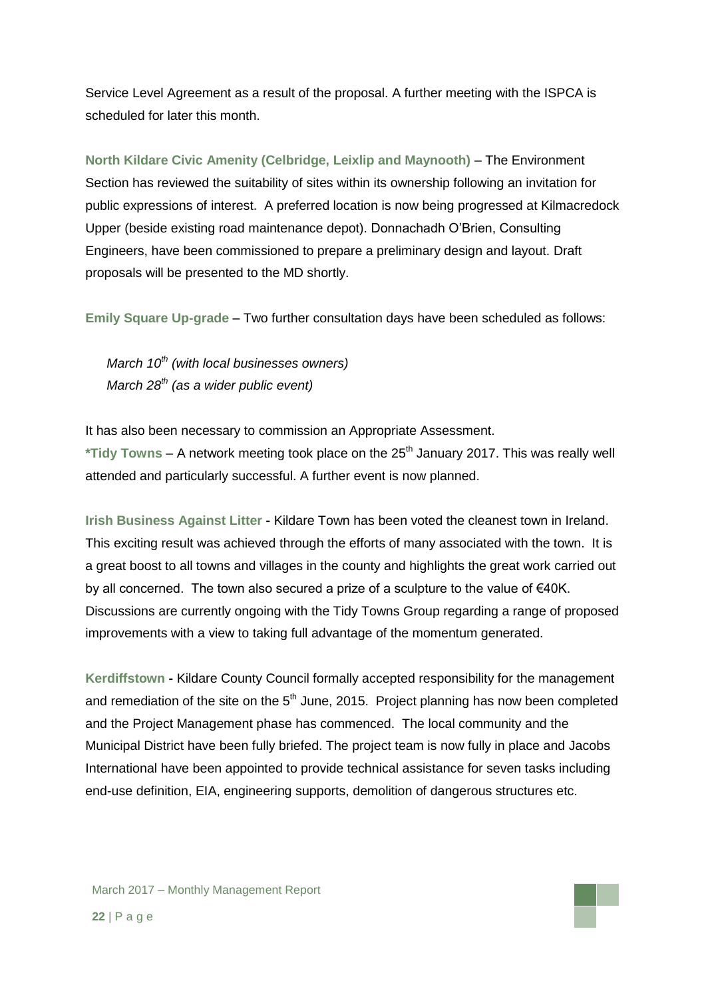Service Level Agreement as a result of the proposal. A further meeting with the ISPCA is scheduled for later this month.

**North Kildare Civic Amenity (Celbridge, Leixlip and Maynooth)** – The Environment Section has reviewed the suitability of sites within its ownership following an invitation for public expressions of interest. A preferred location is now being progressed at Kilmacredock Upper (beside existing road maintenance depot). Donnachadh O'Brien, Consulting Engineers, have been commissioned to prepare a preliminary design and layout. Draft proposals will be presented to the MD shortly.

**Emily Square Up-grade** – Two further consultation days have been scheduled as follows:

*March 10th (with local businesses owners) March 28th (as a wider public event)*

It has also been necessary to commission an Appropriate Assessment. \*Tidy Towns – A network meeting took place on the 25<sup>th</sup> January 2017. This was really well attended and particularly successful. A further event is now planned.

**Irish Business Against Litter -** Kildare Town has been voted the cleanest town in Ireland. This exciting result was achieved through the efforts of many associated with the town. It is a great boost to all towns and villages in the county and highlights the great work carried out by all concerned. The town also secured a prize of a sculpture to the value of €40K. Discussions are currently ongoing with the Tidy Towns Group regarding a range of proposed improvements with a view to taking full advantage of the momentum generated.

**Kerdiffstown -** Kildare County Council formally accepted responsibility for the management and remediation of the site on the  $5<sup>th</sup>$  June, 2015. Project planning has now been completed and the Project Management phase has commenced. The local community and the Municipal District have been fully briefed. The project team is now fully in place and Jacobs International have been appointed to provide technical assistance for seven tasks including end-use definition, EIA, engineering supports, demolition of dangerous structures etc.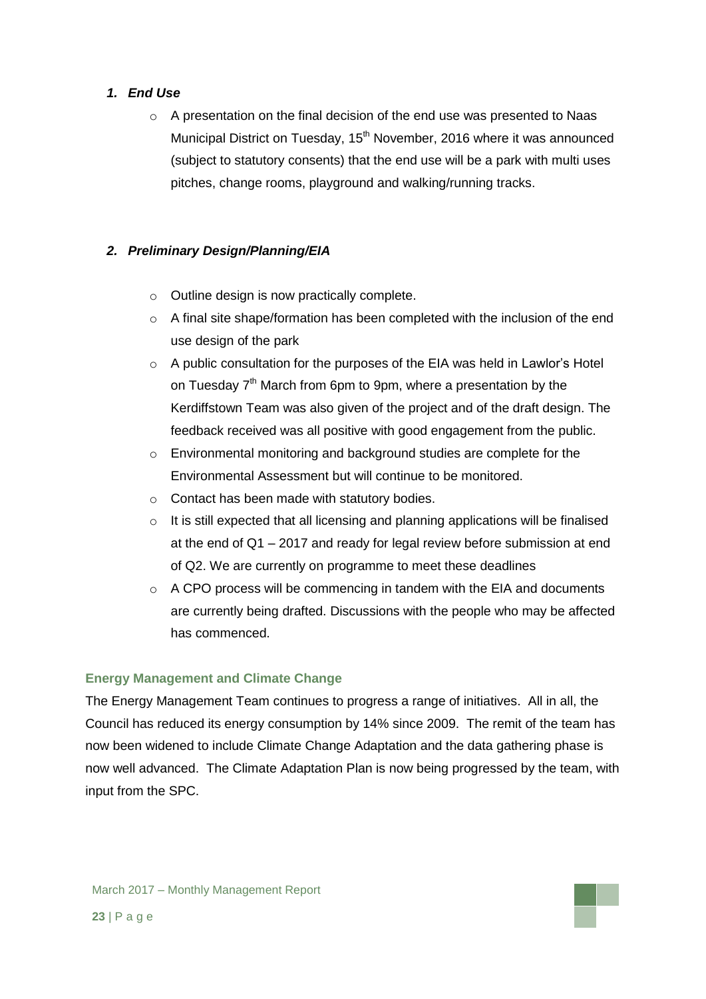### *1. End Use*

 $\circ$  A presentation on the final decision of the end use was presented to Naas Municipal District on Tuesday, 15<sup>th</sup> November, 2016 where it was announced (subject to statutory consents) that the end use will be a park with multi uses pitches, change rooms, playground and walking/running tracks.

### *2. Preliminary Design/Planning/EIA*

- o Outline design is now practically complete.
- o A final site shape/formation has been completed with the inclusion of the end use design of the park
- $\circ$  A public consultation for the purposes of the EIA was held in Lawlor's Hotel on Tuesday 7<sup>th</sup> March from 6pm to 9pm, where a presentation by the Kerdiffstown Team was also given of the project and of the draft design. The feedback received was all positive with good engagement from the public.
- o Environmental monitoring and background studies are complete for the Environmental Assessment but will continue to be monitored.
- o Contact has been made with statutory bodies.
- o It is still expected that all licensing and planning applications will be finalised at the end of Q1 – 2017 and ready for legal review before submission at end of Q2. We are currently on programme to meet these deadlines
- o A CPO process will be commencing in tandem with the EIA and documents are currently being drafted. Discussions with the people who may be affected has commenced.

### **Energy Management and Climate Change**

The Energy Management Team continues to progress a range of initiatives. All in all, the Council has reduced its energy consumption by 14% since 2009. The remit of the team has now been widened to include Climate Change Adaptation and the data gathering phase is now well advanced. The Climate Adaptation Plan is now being progressed by the team, with input from the SPC.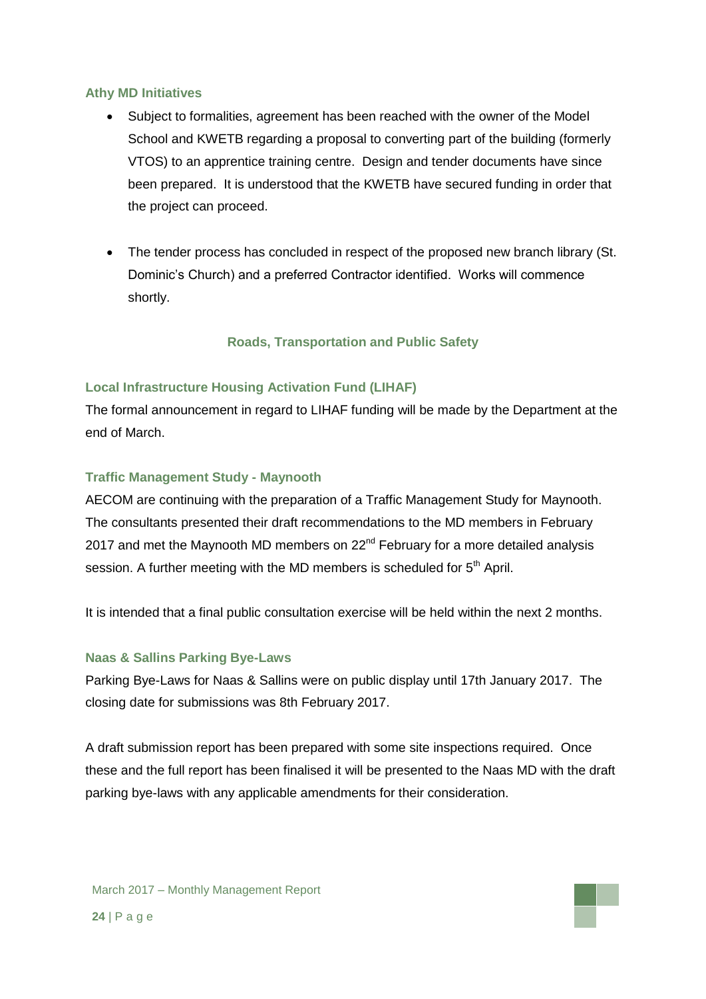### **Athy MD Initiatives**

- Subject to formalities, agreement has been reached with the owner of the Model School and KWETB regarding a proposal to converting part of the building (formerly VTOS) to an apprentice training centre. Design and tender documents have since been prepared. It is understood that the KWETB have secured funding in order that the project can proceed.
- The tender process has concluded in respect of the proposed new branch library (St. Dominic's Church) and a preferred Contractor identified. Works will commence shortly.

### **Roads, Transportation and Public Safety**

### **Local Infrastructure Housing Activation Fund (LIHAF)**

The formal announcement in regard to LIHAF funding will be made by the Department at the end of March.

### **Traffic Management Study - Maynooth**

AECOM are continuing with the preparation of a Traffic Management Study for Maynooth. The consultants presented their draft recommendations to the MD members in February 2017 and met the Maynooth MD members on 22<sup>nd</sup> February for a more detailed analysis session. A further meeting with the MD members is scheduled for 5<sup>th</sup> April.

It is intended that a final public consultation exercise will be held within the next 2 months.

#### **Naas & Sallins Parking Bye-Laws**

Parking Bye-Laws for Naas & Sallins were on public display until 17th January 2017. The closing date for submissions was 8th February 2017.

A draft submission report has been prepared with some site inspections required. Once these and the full report has been finalised it will be presented to the Naas MD with the draft parking bye-laws with any applicable amendments for their consideration.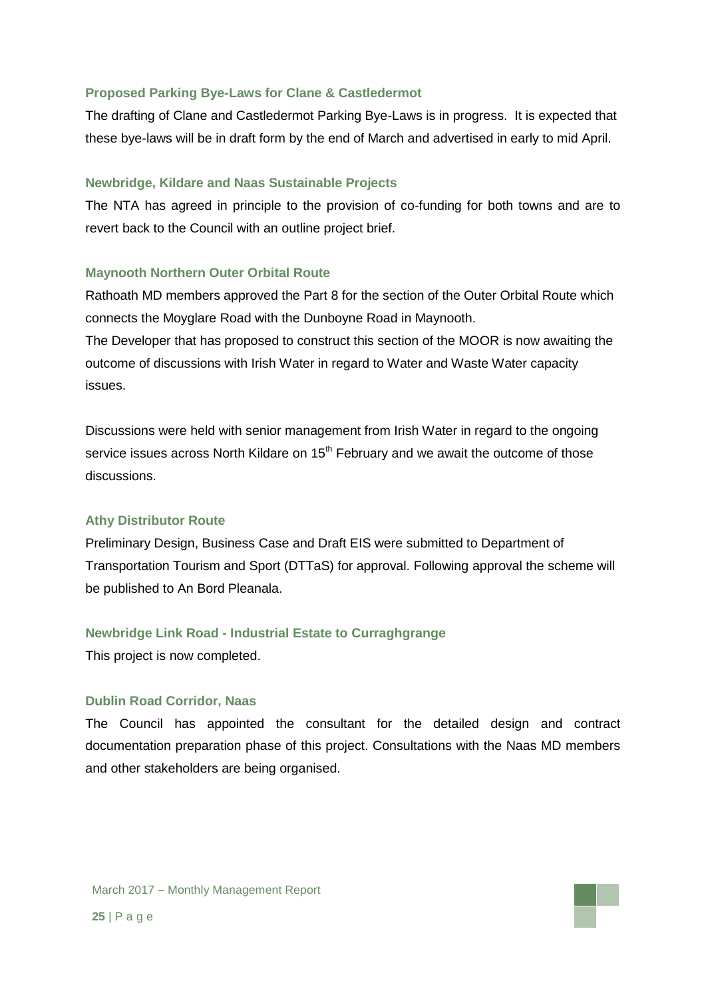#### **Proposed Parking Bye-Laws for Clane & Castledermot**

The drafting of Clane and Castledermot Parking Bye-Laws is in progress. It is expected that these bye-laws will be in draft form by the end of March and advertised in early to mid April.

#### **Newbridge, Kildare and Naas Sustainable Projects**

The NTA has agreed in principle to the provision of co-funding for both towns and are to revert back to the Council with an outline project brief.

### **Maynooth Northern Outer Orbital Route**

Rathoath MD members approved the Part 8 for the section of the Outer Orbital Route which connects the Moyglare Road with the Dunboyne Road in Maynooth. The Developer that has proposed to construct this section of the MOOR is now awaiting the outcome of discussions with Irish Water in regard to Water and Waste Water capacity issues.

Discussions were held with senior management from Irish Water in regard to the ongoing service issues across North Kildare on 15<sup>th</sup> February and we await the outcome of those discussions.

#### **Athy Distributor Route**

Preliminary Design, Business Case and Draft EIS were submitted to Department of Transportation Tourism and Sport (DTTaS) for approval. Following approval the scheme will be published to An Bord Pleanala.

### **Newbridge Link Road - Industrial Estate to Curraghgrange**

This project is now completed.

#### **Dublin Road Corridor, Naas**

The Council has appointed the consultant for the detailed design and contract documentation preparation phase of this project. Consultations with the Naas MD members and other stakeholders are being organised.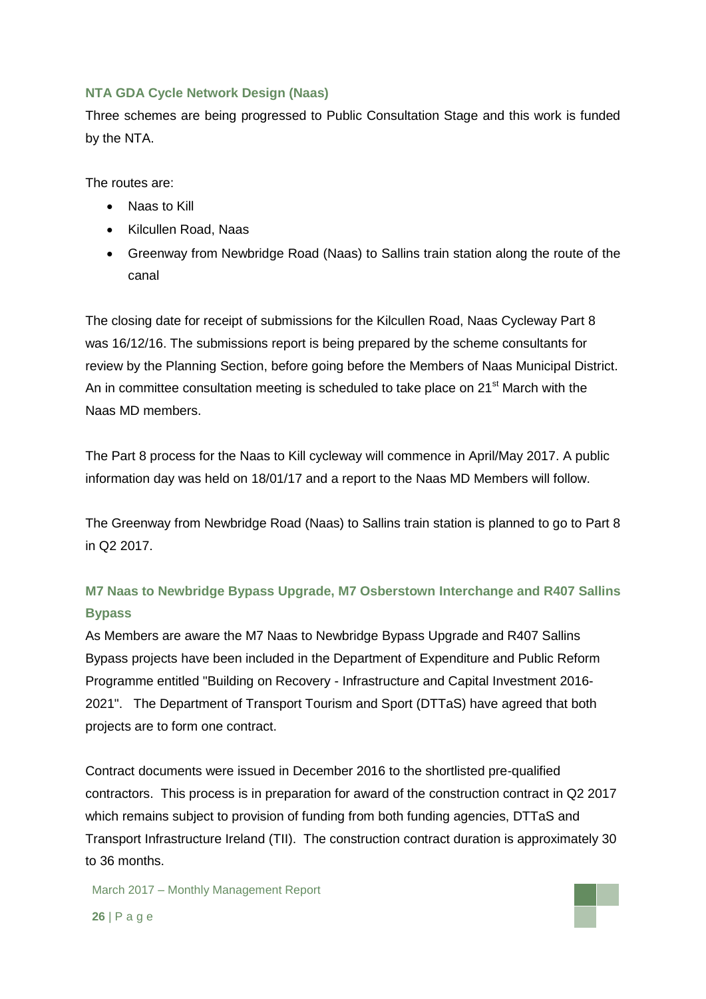### **NTA GDA Cycle Network Design (Naas)**

Three schemes are being progressed to Public Consultation Stage and this work is funded by the NTA.

The routes are:

- Naas to Kill
- Kilcullen Road, Naas
- Greenway from Newbridge Road (Naas) to Sallins train station along the route of the canal

The closing date for receipt of submissions for the Kilcullen Road, Naas Cycleway Part 8 was 16/12/16. The submissions report is being prepared by the scheme consultants for review by the Planning Section, before going before the Members of Naas Municipal District. An in committee consultation meeting is scheduled to take place on 21<sup>st</sup> March with the Naas MD members.

The Part 8 process for the Naas to Kill cycleway will commence in April/May 2017. A public information day was held on 18/01/17 and a report to the Naas MD Members will follow.

The Greenway from Newbridge Road (Naas) to Sallins train station is planned to go to Part 8 in Q2 2017.

## **M7 Naas to Newbridge Bypass Upgrade, M7 Osberstown Interchange and R407 Sallins Bypass**

As Members are aware the M7 Naas to Newbridge Bypass Upgrade and R407 Sallins Bypass projects have been included in the Department of Expenditure and Public Reform Programme entitled "Building on Recovery - Infrastructure and Capital Investment 2016- 2021". The Department of Transport Tourism and Sport (DTTaS) have agreed that both projects are to form one contract.

Contract documents were issued in December 2016 to the shortlisted pre-qualified contractors. This process is in preparation for award of the construction contract in Q2 2017 which remains subject to provision of funding from both funding agencies, DTTaS and Transport Infrastructure Ireland (TII). The construction contract duration is approximately 30 to 36 months.

March 2017 – Monthly Management Report

**26** | P a g e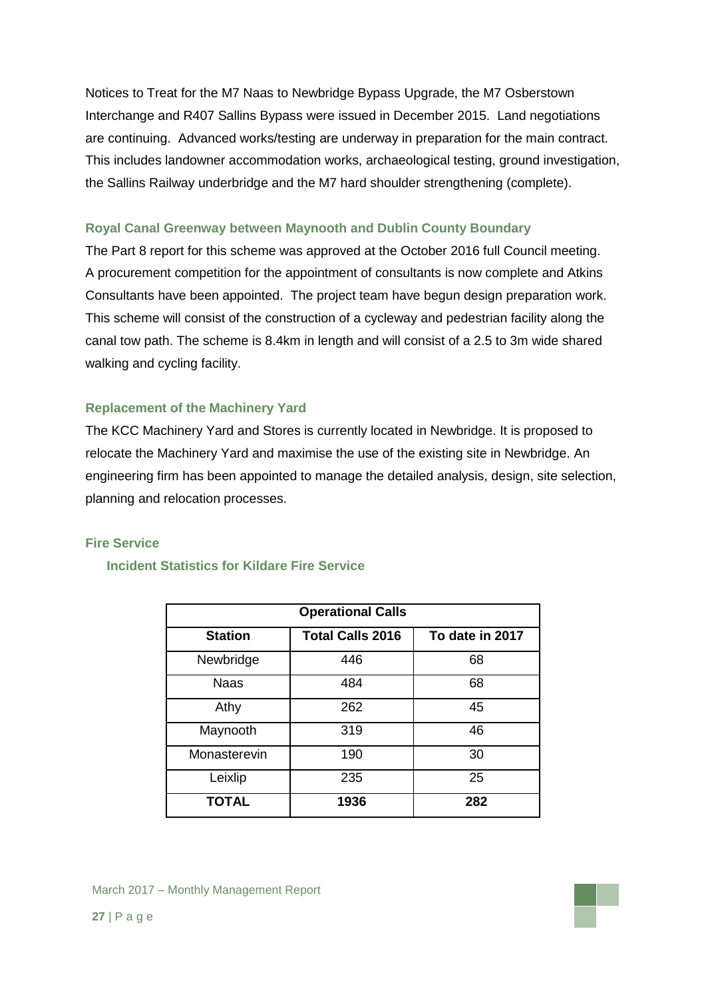Notices to Treat for the M7 Naas to Newbridge Bypass Upgrade, the M7 Osberstown Interchange and R407 Sallins Bypass were issued in December 2015. Land negotiations are continuing. Advanced works/testing are underway in preparation for the main contract. This includes landowner accommodation works, archaeological testing, ground investigation, the Sallins Railway underbridge and the M7 hard shoulder strengthening (complete).

### **Royal Canal Greenway between Maynooth and Dublin County Boundary**

The Part 8 report for this scheme was approved at the October 2016 full Council meeting. A procurement competition for the appointment of consultants is now complete and Atkins Consultants have been appointed. The project team have begun design preparation work. This scheme will consist of the construction of a cycleway and pedestrian facility along the canal tow path. The scheme is 8.4km in length and will consist of a 2.5 to 3m wide shared walking and cycling facility.

### **Replacement of the Machinery Yard**

The KCC Machinery Yard and Stores is currently located in Newbridge. It is proposed to relocate the Machinery Yard and maximise the use of the existing site in Newbridge. An engineering firm has been appointed to manage the detailed analysis, design, site selection, planning and relocation processes.

### **Fire Service**

### **Incident Statistics for Kildare Fire Service**

| <b>Operational Calls</b> |                         |                 |  |  |  |
|--------------------------|-------------------------|-----------------|--|--|--|
| <b>Station</b>           | <b>Total Calls 2016</b> | To date in 2017 |  |  |  |
| Newbridge                | 446                     | 68              |  |  |  |
| <b>Naas</b>              | 484                     | 68              |  |  |  |
| Athy                     | 262                     | 45              |  |  |  |
| Maynooth                 | 319                     | 46              |  |  |  |
| Monasterevin             | 190                     | 30              |  |  |  |
| Leixlip                  | 235                     | 25              |  |  |  |
| <b>TOTAL</b>             | 1936                    | 282             |  |  |  |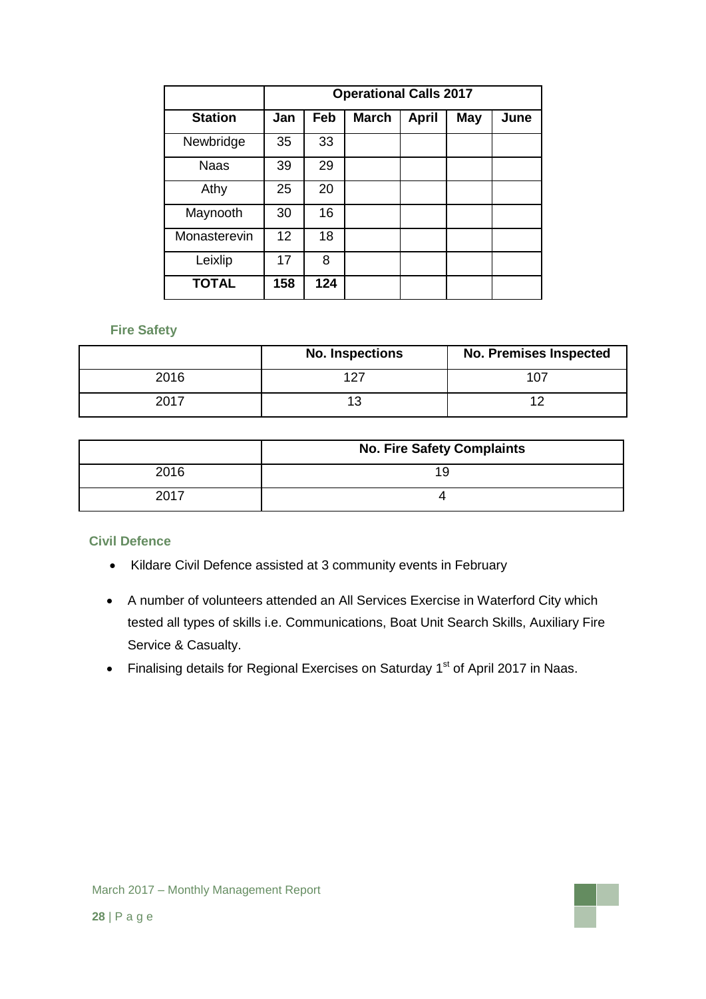|                | <b>Operational Calls 2017</b> |     |              |              |            |      |
|----------------|-------------------------------|-----|--------------|--------------|------------|------|
| <b>Station</b> | Jan                           | Feb | <b>March</b> | <b>April</b> | <b>May</b> | June |
| Newbridge      | 35                            | 33  |              |              |            |      |
| <b>Naas</b>    | 39                            | 29  |              |              |            |      |
| Athy           | 25                            | 20  |              |              |            |      |
| Maynooth       | 30                            | 16  |              |              |            |      |
| Monasterevin   | 12                            | 18  |              |              |            |      |
| Leixlip        | 17                            | 8   |              |              |            |      |
| <b>TOTAL</b>   | 158                           | 124 |              |              |            |      |

### **Fire Safety**

|             | <b>No. Inspections</b> | <b>No. Premises Inspected</b> |
|-------------|------------------------|-------------------------------|
| 2016        |                        |                               |
| <b>2017</b> |                        |                               |

|      | <b>No. Fire Safety Complaints</b> |
|------|-----------------------------------|
| 2016 | 19                                |
| 2017 |                                   |

### **Civil Defence**

- Kildare Civil Defence assisted at 3 community events in February
- A number of volunteers attended an All Services Exercise in Waterford City which tested all types of skills i.e. Communications, Boat Unit Search Skills, Auxiliary Fire Service & Casualty.
- Finalising details for Regional Exercises on Saturday 1<sup>st</sup> of April 2017 in Naas.